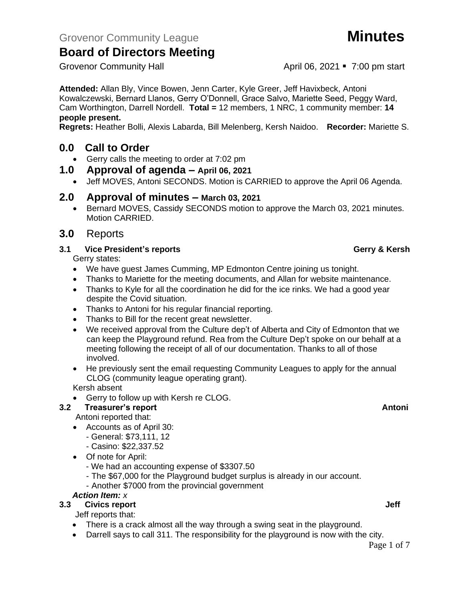Grovenor Community Hall **April 06, 2021 7:00 pm start** 

**Attended:** Allan Bly, Vince Bowen, Jenn Carter, Kyle Greer, Jeff Havixbeck, Antoni Kowalczewski, Bernard Llanos, Gerry O'Donnell, Grace Salvo, Mariette Seed, Peggy Ward, Cam Worthington, Darrell Nordell. **Total =** 12 members, 1 NRC, 1 community member: **14 people present.**

**Regrets:** Heather Bolli, Alexis Labarda, Bill Melenberg, Kersh Naidoo. **Recorder:** Mariette S.

## **0.0 Call to Order**

- Gerry calls the meeting to order at 7:02 pm
- **1.0 Approval of agenda – April 06, 2021**
	- Jeff MOVES, Antoni SECONDS. Motion is CARRIED to approve the April 06 Agenda.

### **2.0 Approval of minutes – March 03, 2021**

• Bernard MOVES, Cassidy SECONDS motion to approve the March 03, 2021 minutes. Motion CARRIED.

### **3.0** Reports

### **3.1 Vice President's reports Gerry & Kersh**

Gerry states:

- We have guest James Cumming, MP Edmonton Centre joining us tonight.
- Thanks to Mariette for the meeting documents, and Allan for website maintenance.
- Thanks to Kyle for all the coordination he did for the ice rinks. We had a good year despite the Covid situation.
- Thanks to Antoni for his regular financial reporting.
- Thanks to Bill for the recent great newsletter.
- We received approval from the Culture dep't of Alberta and City of Edmonton that we can keep the Playground refund. Rea from the Culture Dep't spoke on our behalf at a meeting following the receipt of all of our documentation. Thanks to all of those involved.
- He previously sent the email requesting Community Leagues to apply for the annual CLOG (community league operating grant).

Kersh absent

• Gerry to follow up with Kersh re CLOG.

### **3.2 Treasurer's report Antonic Stream Antonic Stream Antonic Stream Antonic Stream Antonic Antonic Antonic Antoni**

Antoni reported that:

- Accounts as of April 30:
	- General: \$73,111, 12
	- Casino: \$22,337.52
- Of note for April:
	- We had an accounting expense of \$3307.50
	- The \$67,000 for the Playground budget surplus is already in our account.
	- Another \$7000 from the provincial government

### *Action Item: x*

### **3.3** Civics report **Jeff**

Jeff reports that:

- There is a crack almost all the way through a swing seat in the playground.
- Darrell says to call 311. The responsibility for the playground is now with the city.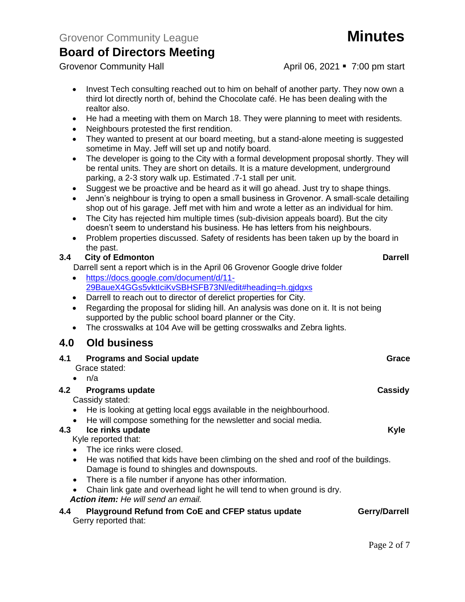Grovenor Community Hall **April 06, 2021 7:00 pm start** 

- Invest Tech consulting reached out to him on behalf of another party. They now own a third lot directly north of, behind the Chocolate café. He has been dealing with the realtor also.
- He had a meeting with them on March 18. They were planning to meet with residents.
- Neighbours protested the first rendition.
- They wanted to present at our board meeting, but a stand-alone meeting is suggested sometime in May. Jeff will set up and notify board.
- The developer is going to the City with a formal development proposal shortly. They will be rental units. They are short on details. It is a mature development, underground parking, a 2-3 story walk up. Estimated .7-1 stall per unit.
- Suggest we be proactive and be heard as it will go ahead. Just try to shape things.
- Jenn's neighbour is trying to open a small business in Grovenor. A small-scale detailing shop out of his garage. Jeff met with him and wrote a letter as an individual for him.
- The City has rejected him multiple times (sub-division appeals board). But the city doesn't seem to understand his business. He has letters from his neighbours.
- Problem properties discussed. Safety of residents has been taken up by the board in the past.

### **3.4 City of Edmonton Darrell**

Darrell sent a report which is in the April 06 Grovenor Google drive folder

- [https://docs.google.com/document/d/11-](https://docs.google.com/document/d/11-29BaueX4GGs5vktIciKvSBHSFB73Nl/edit#heading=h.gjdgxs) [29BaueX4GGs5vktIciKvSBHSFB73Nl/edit#heading=h.gjdgxs](https://docs.google.com/document/d/11-29BaueX4GGs5vktIciKvSBHSFB73Nl/edit#heading=h.gjdgxs)
- Darrell to reach out to director of derelict properties for City.
- Regarding the proposal for sliding hill. An analysis was done on it. It is not being supported by the public school board planner or the City.
- The crosswalks at 104 Ave will be getting crosswalks and Zebra lights.

## **4.0 Old business**

| 4.1 Programs and Social update | Grace |
|--------------------------------|-------|
| Grace stated:                  |       |
| $\bullet$ n/a                  |       |
|                                |       |

### **4.2 Programs update Cassidy**

Cassidy stated:

- He is looking at getting local eggs available in the neighbourhood.
- He will compose something for the newsletter and social media.

### **4.3 Ice rinks update Kyle**

Kyle reported that:

- The ice rinks were closed.
- He was notified that kids have been climbing on the shed and roof of the buildings. Damage is found to shingles and downspouts.
- There is a file number if anyone has other information.
- Chain link gate and overhead light he will tend to when ground is dry.
- *Action item: He will send an email.*

| 4.4 | <b>Playground Refund from CoE and CFEP status update</b> |  |
|-----|----------------------------------------------------------|--|
|     | Gerry reported that:                                     |  |

**4.44** *<u>Berry/Darrell</u>*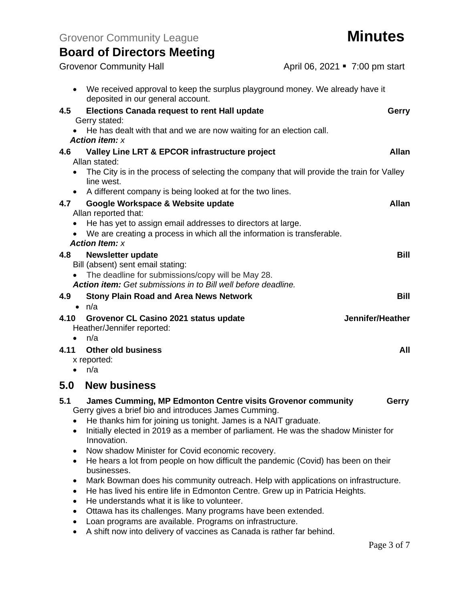|  |  | <b>Board of Directors Meeting</b> |  |
|--|--|-----------------------------------|--|
|--|--|-----------------------------------|--|

|                | <b>Grovenor Community Hall</b>                                                                                                                                        | April 06, 2021 • 7:00 pm start |
|----------------|-----------------------------------------------------------------------------------------------------------------------------------------------------------------------|--------------------------------|
| $\bullet$      | We received approval to keep the surplus playground money. We already have it<br>deposited in our general account.                                                    |                                |
| 4.5            | <b>Elections Canada request to rent Hall update</b><br>Gerry stated:                                                                                                  | Gerry                          |
|                | He has dealt with that and we are now waiting for an election call.<br><b>Action item: x</b>                                                                          |                                |
| 4.6            | Valley Line LRT & EPCOR infrastructure project                                                                                                                        | <b>Allan</b>                   |
|                | Allan stated:                                                                                                                                                         |                                |
| $\bullet$      | The City is in the process of selecting the company that will provide the train for Valley<br>line west.                                                              |                                |
| $\bullet$      | A different company is being looked at for the two lines.                                                                                                             |                                |
| 4.7            | Google Workspace & Website update                                                                                                                                     | <b>Allan</b>                   |
| $\bullet$      | Allan reported that:<br>He has yet to assign email addresses to directors at large.                                                                                   |                                |
|                | We are creating a process in which all the information is transferable.                                                                                               |                                |
|                | <b>Action Item: x</b>                                                                                                                                                 |                                |
| 4.8            | <b>Newsletter update</b>                                                                                                                                              | <b>Bill</b>                    |
|                | Bill (absent) sent email stating:                                                                                                                                     |                                |
|                | • The deadline for submissions/copy will be May 28.<br><b>Action item:</b> Get submissions in to Bill well before deadline.                                           |                                |
| 4.9            | <b>Stony Plain Road and Area News Network</b>                                                                                                                         | <b>Bill</b>                    |
|                | $\bullet$ n/a                                                                                                                                                         |                                |
| 4.10           | Grovenor CL Casino 2021 status update                                                                                                                                 | Jennifer/Heather               |
|                | Heather/Jennifer reported:                                                                                                                                            |                                |
| $\bullet$      | n/a                                                                                                                                                                   |                                |
| 4.11           | <b>Other old business</b>                                                                                                                                             | All                            |
| $\bullet$      | x reported:<br>n/a                                                                                                                                                    |                                |
|                |                                                                                                                                                                       |                                |
| 5.0            | <b>New business</b>                                                                                                                                                   |                                |
| 5.1            | James Cumming, MP Edmonton Centre visits Grovenor community<br>Gerry gives a brief bio and introduces James Cumming.                                                  | Gerry                          |
| ٠              | He thanks him for joining us tonight. James is a NAIT graduate.<br>Initially elected in 2019 as a member of parliament. He was the shadow Minister for<br>Innovation. |                                |
| ٠              | Now shadow Minister for Covid economic recovery.                                                                                                                      |                                |
| ٠              | He hears a lot from people on how difficult the pandemic (Covid) has been on their<br>businesses.                                                                     |                                |
| ٠              | Mark Bowman does his community outreach. Help with applications on infrastructure.                                                                                    |                                |
| ٠<br>$\bullet$ | He has lived his entire life in Edmonton Centre. Grew up in Patricia Heights.<br>He understands what it is like to volunteer.                                         |                                |
| ٠              | Ottawa has its challenges. Many programs have been extended.                                                                                                          |                                |
| ٠              | Loan programs are available. Programs on infrastructure.                                                                                                              |                                |
|                | A shift now into delivery of vaccines as Canada is rather far behind.                                                                                                 |                                |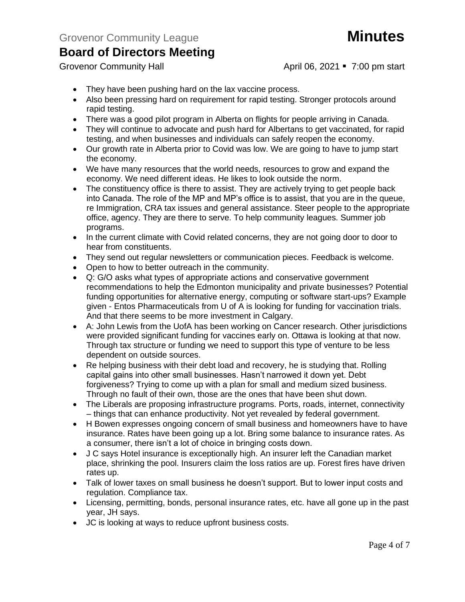Grovenor Community Hall **April 06, 2021 7:00 pm start** 

- They have been pushing hard on the lax vaccine process.
- Also been pressing hard on requirement for rapid testing. Stronger protocols around rapid testing.
- There was a good pilot program in Alberta on flights for people arriving in Canada.
- They will continue to advocate and push hard for Albertans to get vaccinated, for rapid testing, and when businesses and individuals can safely reopen the economy.
- Our growth rate in Alberta prior to Covid was low. We are going to have to jump start the economy.
- We have many resources that the world needs, resources to grow and expand the economy. We need different ideas. He likes to look outside the norm.
- The constituency office is there to assist. They are actively trying to get people back into Canada. The role of the MP and MP's office is to assist, that you are in the queue, re Immigration, CRA tax issues and general assistance. Steer people to the appropriate office, agency. They are there to serve. To help community leagues. Summer job programs.
- In the current climate with Covid related concerns, they are not going door to door to hear from constituents.
- They send out regular newsletters or communication pieces. Feedback is welcome.
- Open to how to better outreach in the community.
- Q: G/O asks what types of appropriate actions and conservative government recommendations to help the Edmonton municipality and private businesses? Potential funding opportunities for alternative energy, computing or software start-ups? Example given - Entos Pharmaceuticals from U of A is looking for funding for vaccination trials. And that there seems to be more investment in Calgary.
- A: John Lewis from the UofA has been working on Cancer research. Other jurisdictions were provided significant funding for vaccines early on. Ottawa is looking at that now. Through tax structure or funding we need to support this type of venture to be less dependent on outside sources.
- Re helping business with their debt load and recovery, he is studying that. Rolling capital gains into other small businesses. Hasn't narrowed it down yet. Debt forgiveness? Trying to come up with a plan for small and medium sized business. Through no fault of their own, those are the ones that have been shut down.
- The Liberals are proposing infrastructure programs. Ports, roads, internet, connectivity – things that can enhance productivity. Not yet revealed by federal government.
- H Bowen expresses ongoing concern of small business and homeowners have to have insurance. Rates have been going up a lot. Bring some balance to insurance rates. As a consumer, there isn't a lot of choice in bringing costs down.
- J C says Hotel insurance is exceptionally high. An insurer left the Canadian market place, shrinking the pool. Insurers claim the loss ratios are up. Forest fires have driven rates up.
- Talk of lower taxes on small business he doesn't support. But to lower input costs and regulation. Compliance tax.
- Licensing, permitting, bonds, personal insurance rates, etc. have all gone up in the past year, JH says.
- JC is looking at ways to reduce upfront business costs.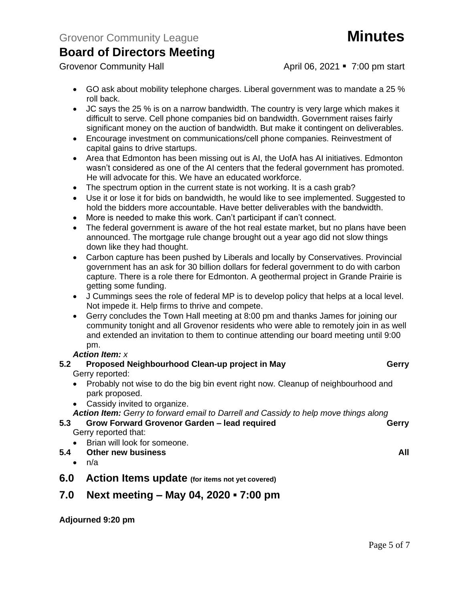- GO ask about mobility telephone charges. Liberal government was to mandate a 25 % roll back.
- JC says the 25 % is on a narrow bandwidth. The country is very large which makes it difficult to serve. Cell phone companies bid on bandwidth. Government raises fairly significant money on the auction of bandwidth. But make it contingent on deliverables.
- Encourage investment on communications/cell phone companies. Reinvestment of capital gains to drive startups.
- Area that Edmonton has been missing out is AI, the UofA has AI initiatives. Edmonton wasn't considered as one of the AI centers that the federal government has promoted. He will advocate for this. We have an educated workforce.
- The spectrum option in the current state is not working. It is a cash grab?
- Use it or lose it for bids on bandwidth, he would like to see implemented. Suggested to hold the bidders more accountable. Have better deliverables with the bandwidth.
- More is needed to make this work. Can't participant if can't connect.
- The federal government is aware of the hot real estate market, but no plans have been announced. The mortgage rule change brought out a year ago did not slow things down like they had thought.
- Carbon capture has been pushed by Liberals and locally by Conservatives. Provincial government has an ask for 30 billion dollars for federal government to do with carbon capture. There is a role there for Edmonton. A geothermal project in Grande Prairie is getting some funding.
- J Cummings sees the role of federal MP is to develop policy that helps at a local level. Not impede it. Help firms to thrive and compete.
- Gerry concludes the Town Hall meeting at 8:00 pm and thanks James for joining our community tonight and all Grovenor residents who were able to remotely join in as well and extended an invitation to them to continue attending our board meeting until 9:00 pm.

### *Action Item: x*

#### **5.2 Proposed Neighbourhood Clean-up project in May <b>Gerry** Gerry reported:

- Probably not wise to do the big bin event right now. Cleanup of neighbourhood and park proposed.
- Cassidy invited to organize.
- *Action Item: Gerry to forward email to Darrell and Cassidy to help move things along*
- **5.3 Grow Forward Grovenor Garden – lead required Gerry** Gerry reported that:
	- Brian will look for someone.
- **5.4 Other new business All**
	- $\bullet$  n/a
- **6.0 Action Items update (for items not yet covered)**

## **7.0 Next meeting – May 04, 2020 ▪ 7:00 pm**

**Adjourned 9:20 pm**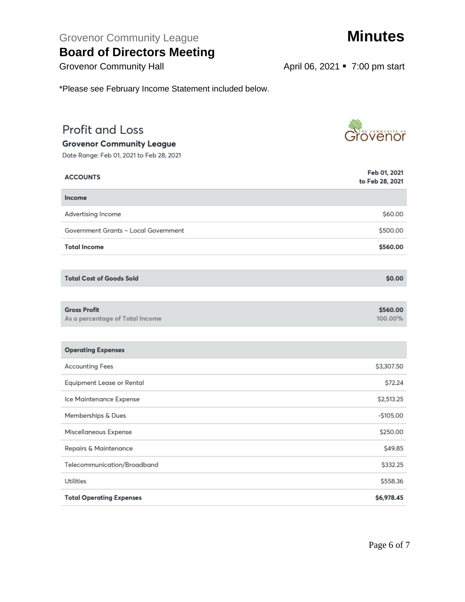Grovenor Community League **Minutes** 

## **Board of Directors Meeting**

\*Please see February Income Statement included below.

# **Profit and Loss**

**Grovenor Community League** 

Date Range: Feb 01, 2021 to Feb 28, 2021

| <b>ACCOUNTS</b>                                        | Feb 01, 2021<br>to Feb 28, 2021 |
|--------------------------------------------------------|---------------------------------|
| <b>Income</b>                                          |                                 |
| <b>Advertising Income</b>                              | \$60.00                         |
| <b>Government Grants - Local Government</b>            | \$500.00                        |
| <b>Total Income</b>                                    | \$560.00                        |
|                                                        |                                 |
| <b>Total Cost of Goods Sold</b>                        | \$0.00                          |
|                                                        |                                 |
| <b>Gross Profit</b><br>As a percentage of Total Income | \$560.00<br>100.00%             |
|                                                        |                                 |
| <b>Operating Expenses</b>                              |                                 |
| <b>Accounting Fees</b>                                 | \$3,307.50                      |
| <b>Equipment Lease or Rental</b>                       | \$72.24                         |
| Ice Maintenance Expense                                | \$2,513.25                      |
| Memberships & Dues                                     | $-$105.00$                      |
| Miscellaneous Expense                                  | \$250.00                        |
| <b>Repairs &amp; Maintenance</b>                       | \$49.85                         |
| Telecommunication/Broadband                            | \$332.25                        |
| <b>Utilities</b>                                       | \$558.36                        |
| <b>Total Operating Expenses</b>                        | \$6,978.45                      |

*<u>Grovenor</u>* 

Grovenor Community Hall **April 06, 2021 7:00 pm start**